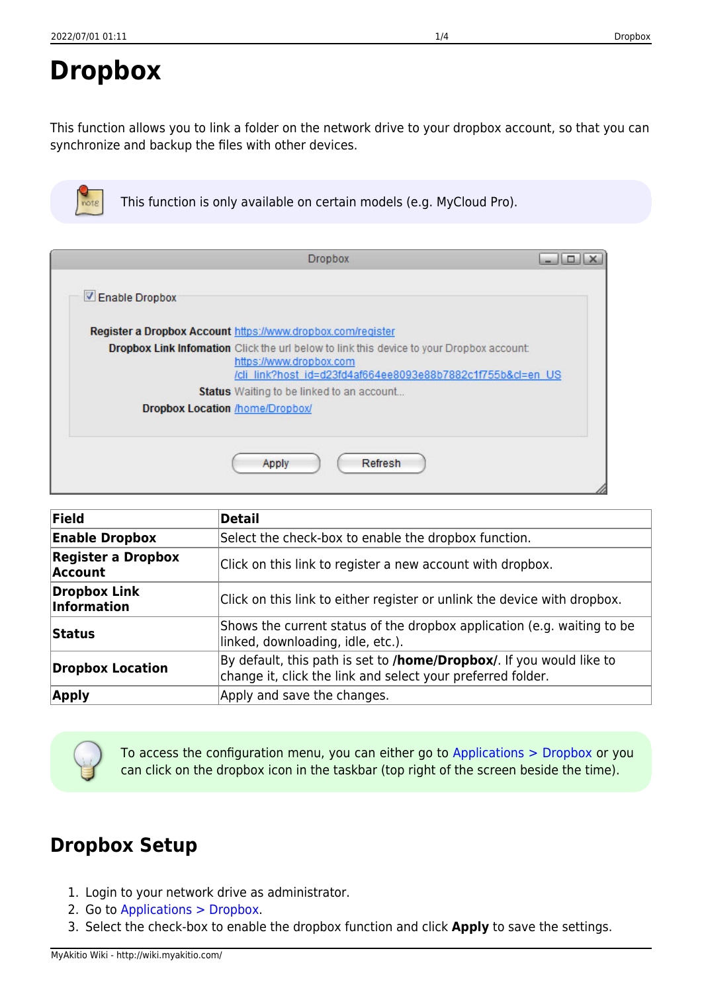## <span id="page-0-0"></span>**Dropbox**

This function allows you to link a folder on the network drive to your dropbox account, so that you can synchronize and backup the files with other devices.

|  |  |  | This function is only available on certain models (e.g. MyCloud Pro). |
|--|--|--|-----------------------------------------------------------------------|
|  |  |  |                                                                       |

|                | <b>Dropbox</b>                                                                                                                                                                            | ابتتالت د |
|----------------|-------------------------------------------------------------------------------------------------------------------------------------------------------------------------------------------|-----------|
| Enable Dropbox |                                                                                                                                                                                           |           |
|                | Register a Dropbox Account https://www.dropbox.com/register                                                                                                                               |           |
|                | <b>Dropbox Link Infomation</b> Click the url below to link this device to your Dropbox account:<br>https://www.dropbox.com<br>/cli link?host id=d23fd4af664ee8093e88b7882c1f755b&cl=en_US |           |
|                | Status Waiting to be linked to an account                                                                                                                                                 |           |
|                | <b>Dropbox Location /home/Dropbox/</b>                                                                                                                                                    |           |
|                | Refresh<br>Apply                                                                                                                                                                          |           |

| <b>Field</b>                                | <b>Detail</b>                                                                                                                       |
|---------------------------------------------|-------------------------------------------------------------------------------------------------------------------------------------|
| <b>Enable Dropbox</b>                       | Select the check-box to enable the dropbox function.                                                                                |
| <b>Register a Dropbox</b><br><b>Account</b> | Click on this link to register a new account with dropbox.                                                                          |
| <b>Dropbox Link</b><br>Information          | Click on this link to either register or unlink the device with dropbox.                                                            |
| <b>Status</b>                               | Shows the current status of the dropbox application (e.g. waiting to be<br>linked, downloading, idle, etc.).                        |
| <b>Dropbox Location</b>                     | By default, this path is set to /home/Dropbox/. If you would like to<br>change it, click the link and select your preferred folder. |
| <b>Apply</b>                                | Apply and save the changes.                                                                                                         |

To access the configuration menu, you can either go to [Applications > Dropbox](#page-0-0) or you can click on the dropbox icon in the taskbar (top right of the screen beside the time).

## **Dropbox Setup**

- 1. Login to your network drive as administrator.
- 2. Go to [Applications > Dropbox.](#page-0-0)
- 3. Select the check-box to enable the dropbox function and click **Apply** to save the settings.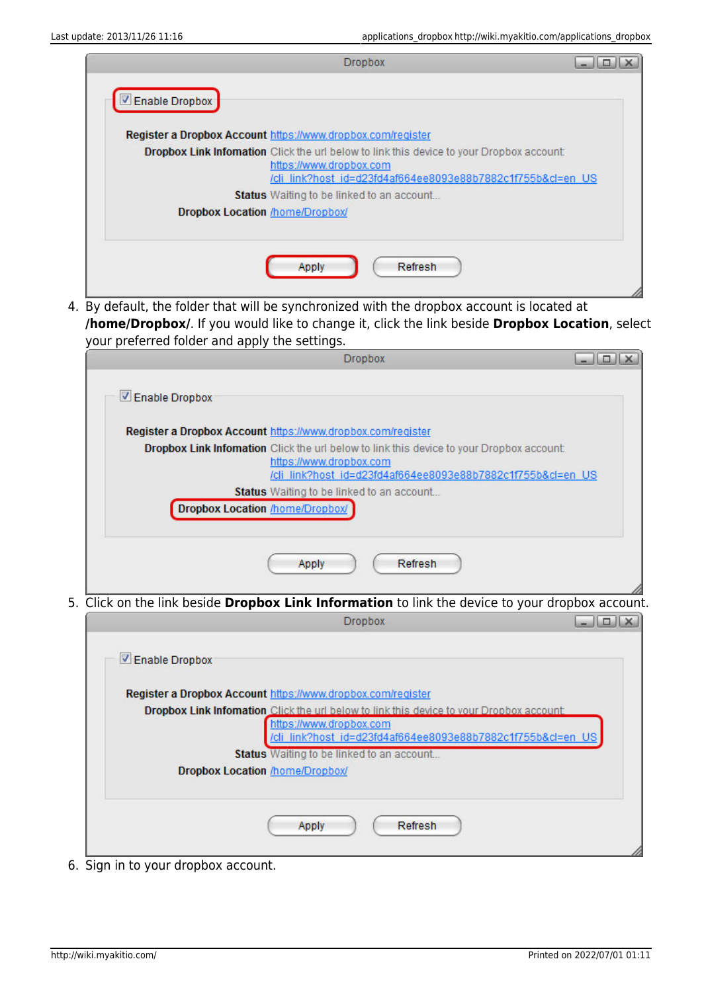| <b>Dropbox</b>                                                                                                                                                                             | $\Box$ |
|--------------------------------------------------------------------------------------------------------------------------------------------------------------------------------------------|--------|
| Enable Dropbox                                                                                                                                                                             |        |
| Register a Dropbox Account https://www.dropbox.com/register                                                                                                                                |        |
| <b>Dropbox Link Information</b> Click the url below to link this device to your Dropbox account:<br>https://www.dropbox.com<br>/cli link?host id=d23fd4af664ee8093e88b7882c1f755b&cl=en US |        |
| <b>Status</b> Waiting to be linked to an account                                                                                                                                           |        |
| <b>Dropbox Location /home/Dropbox/</b>                                                                                                                                                     |        |
| Apply<br>Refresh                                                                                                                                                                           |        |
|                                                                                                                                                                                            |        |

4. By default, the folder that will be synchronized with the dropbox account is located at **/home/Dropbox/**. If you would like to change it, click the link beside **Dropbox Location**, select your preferred folder and apply the settings.

|                | <b>Dropbox</b>                                                                                   |                                                             |
|----------------|--------------------------------------------------------------------------------------------------|-------------------------------------------------------------|
| Enable Dropbox |                                                                                                  |                                                             |
|                |                                                                                                  |                                                             |
|                | Register a Dropbox Account https://www.dropbox.com/register                                      |                                                             |
|                | <b>Dropbox Link Infomation</b> Click the url below to link this device to your Dropbox account:  |                                                             |
|                | https://www.dropbox.com                                                                          |                                                             |
|                |                                                                                                  | /cli link?host id=d23fd4af664ee8093e88b7882c1f755b&cl=en_US |
|                | Status Waiting to be linked to an account                                                        |                                                             |
|                | <b>Dropbox Location /home/Dropbox/</b>                                                           |                                                             |
|                |                                                                                                  |                                                             |
|                |                                                                                                  |                                                             |
|                | Refresh<br>Apply                                                                                 |                                                             |
|                |                                                                                                  |                                                             |
|                | 5. Click on the link beside Dropbox Link Information to link the device to your dropbox account. |                                                             |
|                | <b>Dropbox</b>                                                                                   | $  D $                                                      |
|                |                                                                                                  |                                                             |
| Enable Dropbox |                                                                                                  |                                                             |
|                |                                                                                                  |                                                             |
|                | Register a Dropbox Account https://www.dropbox.com/register                                      |                                                             |
|                | <b>Dropbox Link Infomation</b> Click the url below to link this device to your Dropbox account:  |                                                             |

| <b>Status</b> Waiting to be linked to an account |
|--------------------------------------------------|
|                                                  |
|                                                  |
|                                                  |
|                                                  |
|                                                  |

6. Sign in to your dropbox account.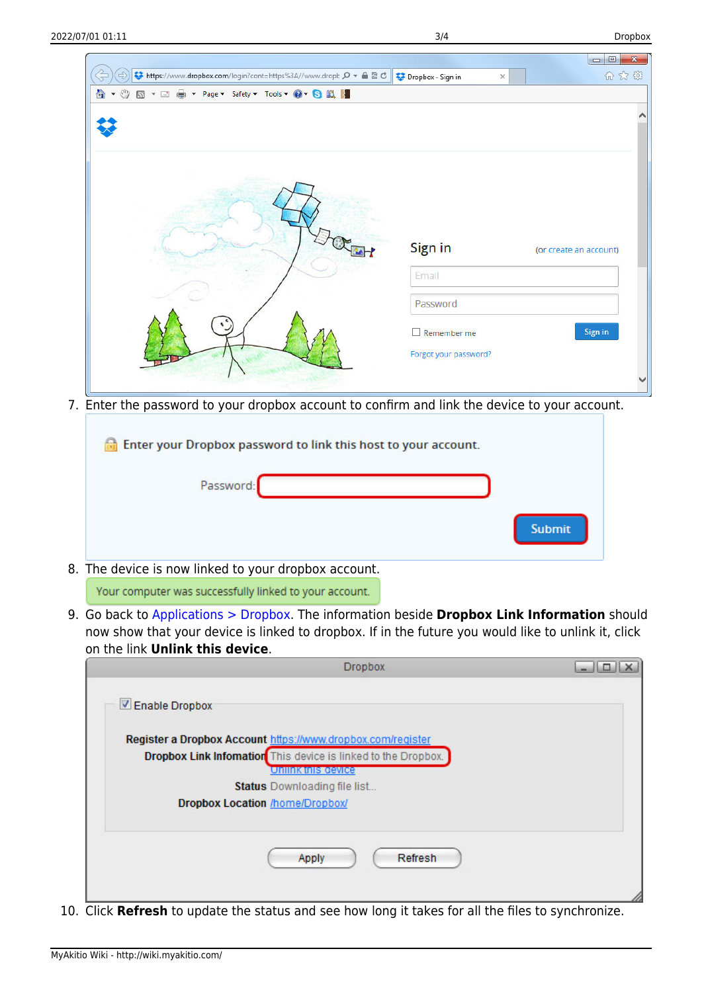| t https://www.dropbox.com/login?cont=https%3A//www.dropt ρ - Α α σ | Dropbox - Sign in<br>$\times$               | $\mathbf{x}$<br>$\qquad \qquad \Box$<br>$\blacksquare$<br>命众怨 |
|--------------------------------------------------------------------|---------------------------------------------|---------------------------------------------------------------|
|                                                                    |                                             |                                                               |
|                                                                    | Sign in                                     | (or create an account)                                        |
|                                                                    | Email<br>Password                           |                                                               |
|                                                                    | $\Box$ Remember me<br>Forgot your password? | Sign in                                                       |

7. Enter the password to your dropbox account to confirm and link the device to your account.

| <b>Example 1</b> Enter your Dropbox password to link this host to your account. |               |
|---------------------------------------------------------------------------------|---------------|
| Password:                                                                       |               |
|                                                                                 | <b>Submit</b> |
| 8. The device is now linked to your dropbox account.                            |               |

Your computer was successfully linked to your account.

9. Go back to [Applications > Dropbox](#page-0-0). The information beside **Dropbox Link Information** should now show that your device is linked to dropbox. If in the future you would like to unlink it, click on the link **Unlink this device**.

|                                        | <b>Dropbox</b>                                                       |  |
|----------------------------------------|----------------------------------------------------------------------|--|
| Enable Dropbox                         |                                                                      |  |
|                                        | Register a Dropbox Account https://www.dropbox.com/register          |  |
|                                        | <b>Dropbox Link Infomation</b> This device is linked to the Dropbox. |  |
|                                        | Unlink this gevice                                                   |  |
|                                        | <b>Status</b> Downloading file list                                  |  |
| <b>Dropbox Location /home/Dropbox/</b> |                                                                      |  |
|                                        |                                                                      |  |
|                                        | Refresh<br>Apply                                                     |  |
|                                        |                                                                      |  |

10. Click **Refresh** to update the status and see how long it takes for all the files to synchronize.